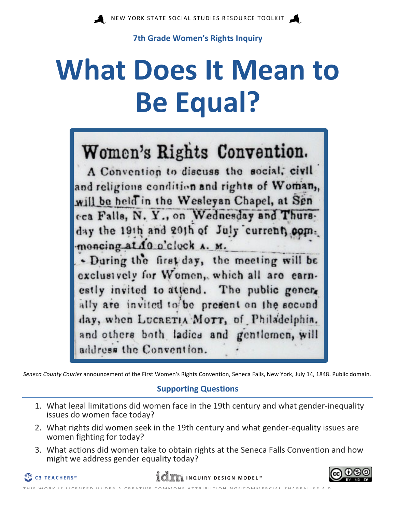**7th Grade Women's Rights Inquiry**

# **What Does It Mean to Be Equal?**



Seneca County Courier announcement of the First Women's Rights Convention, Seneca Falls, New York, July 14, 1848. Public domain.

### **Supporting Questions**

- 1. What legal limitations did women face in the 19th century and what gender-inequality issues do women face today?
- 2. What rights did women seek in the 19th century and what gender-equality issues are women fighting for today?
- 3. What actions did women take to obtain rights at the Seneca Falls Convention and how might we address gender equality today?

THIC WORK IS LICENSEN HANNER A CREATIVE COMMONS ATTRIBUTION - NONCOMMERCIAL - SHAREALIKE 4. O



**INQUIRY DESIGN MODEL™** 

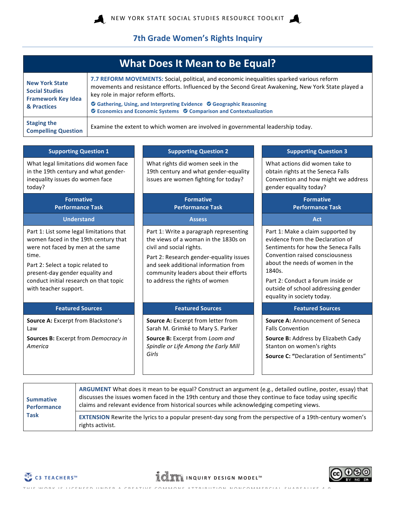

#### **7th Grade Women's Rights Inquiry**

| <b>What Does It Mean to Be Equal?</b>                                                      |                                                                                                                                                                                                                                                                                                                                                                                             |
|--------------------------------------------------------------------------------------------|---------------------------------------------------------------------------------------------------------------------------------------------------------------------------------------------------------------------------------------------------------------------------------------------------------------------------------------------------------------------------------------------|
| <b>New York State</b><br><b>Social Studies</b><br><b>Framework Key Idea</b><br>& Practices | 7.7 REFORM MOVEMENTS: Social, political, and economic inequalities sparked various reform<br>movements and resistance efforts. Influenced by the Second Great Awakening, New York State played a<br>key role in major reform efforts.<br><b>◎</b> Gathering, Using, and Interpreting Evidence ● Geographic Reasoning<br>C Economics and Economic Systems C Comparison and Contextualization |
| <b>Staging the</b><br><b>Compelling Question</b>                                           | Examine the extent to which women are involved in governmental leadership today.                                                                                                                                                                                                                                                                                                            |

What legal limitations did women face in the 19th century and what genderinequality issues do women face today?

### **Formative**

**Performance Task**

#### **Understand Assess Act**

Part 1: List some legal limitations that women faced in the 19th century that were not faced by men at the same time.

Part 2: Select a topic related to present-day gender equality and conduct initial research on that topic with teacher support.

**Source A: Excerpt from Blackstone's** Law

**Sources B:** Excerpt from *Democracy* in *America*

What rights did women seek in the 19th century and what gender-equality issues are women fighting for today?

> **Formative Performance Task**

Part 1: Write a paragraph representing the views of a woman in the 1830s on civil and social rights.

Part 2: Research gender-equality issues and seek additional information from community leaders about their efforts to address the rights of women

#### **Featured Sources Featured Sources Featured Sources Featured Sources**

**Source A: Excerpt from letter from** Sarah M. Grimké to Mary S. Parker

**Source B:** Excerpt from *Loom* and *Spindle or Life Among the Early Mill Girls*

#### **Supporting Question 1 Supporting Question 2 Supporting Question 3**

What actions did women take to obtain rights at the Seneca Falls Convention and how might we address gender equality today?

> **Formative Performance Task**

Part 1: Make a claim supported by evidence from the Declaration of Sentiments for how the Seneca Falls Convention raised consciousness about the needs of women in the 1840s. 

Part 2: Conduct a forum inside or outside of school addressing gender equality in society today.

**Source A: Announcement of Seneca** Falls Convention

**Source B:** Address by Elizabeth Cady Stanton on women's rights

**Source C: "**Declaration of Sentiments"

| <b>Summative</b><br><b>Performance</b><br>Task | ARGUMENT What does it mean to be equal? Construct an argument (e.g., detailed outline, poster, essay) that<br>discusses the issues women faced in the 19th century and those they continue to face today using specific<br>claims and relevant evidence from historical sources while acknowledging competing views. |
|------------------------------------------------|----------------------------------------------------------------------------------------------------------------------------------------------------------------------------------------------------------------------------------------------------------------------------------------------------------------------|
|                                                | EXTENSION Rewrite the lyrics to a popular present-day song from the perspective of a 19th-century women's<br>rights activist.                                                                                                                                                                                        |



THIC WORK IS LICENSEN HANNER A CREATIVE COMMONS ATTRIBUTION - NONCOMMERCIAL - SHAREALIKE 4. O

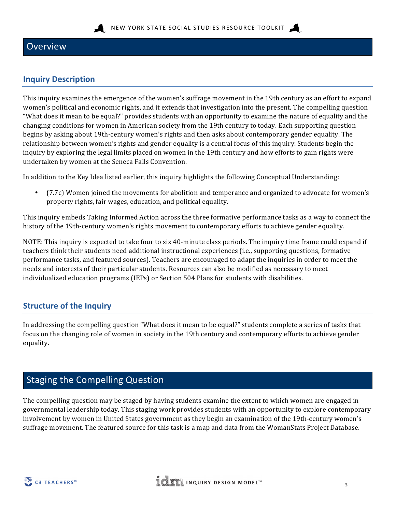### Overview

#### **Inquiry Description**

This inquiry examines the emergence of the women's suffrage movement in the 19th century as an effort to expand women's political and economic rights, and it extends that investigation into the present. The compelling question "What does it mean to be equal?" provides students with an opportunity to examine the nature of equality and the changing conditions for women in American society from the 19th century to today. Each supporting question begins by asking about 19th-century women's rights and then asks about contemporary gender equality. The relationship between women's rights and gender equality is a central focus of this inquiry. Students begin the inquiry by exploring the legal limits placed on women in the 19th century and how efforts to gain rights were undertaken by women at the Seneca Falls Convention.

In addition to the Key Idea listed earlier, this inquiry highlights the following Conceptual Understanding:

 $(7.7c)$  Women joined the movements for abolition and temperance and organized to advocate for women's property rights, fair wages, education, and political equality.

This inquiry embeds Taking Informed Action across the three formative performance tasks as a way to connect the history of the 19th-century women's rights movement to contemporary efforts to achieve gender equality.

NOTE: This inquiry is expected to take four to six 40-minute class periods. The inquiry time frame could expand if teachers think their students need additional instructional experiences (i.e., supporting questions, formative performance tasks, and featured sources). Teachers are encouraged to adapt the inquiries in order to meet the needs and interests of their particular students. Resources can also be modified as necessary to meet individualized education programs (IEPs) or Section 504 Plans for students with disabilities.

#### **Structure of the Inquiry**

In addressing the compelling question "What does it mean to be equal?" students complete a series of tasks that focus on the changing role of women in society in the 19th century and contemporary efforts to achieve gender equality. 

### Staging the Compelling Question

The compelling question may be staged by having students examine the extent to which women are engaged in governmental leadership today. This staging work provides students with an opportunity to explore contemporary involvement by women in United States government as they begin an examination of the 19th-century women's suffrage movement. The featured source for this task is a map and data from the WomanStats Project Database.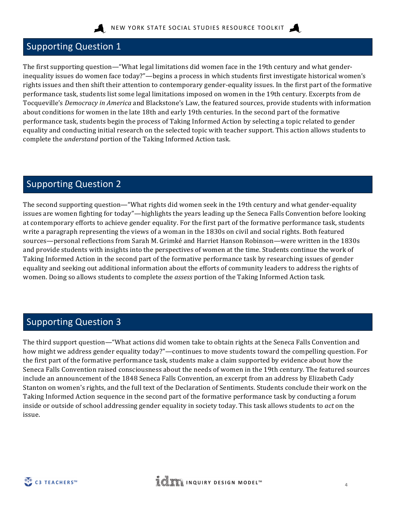



The first supporting question—"What legal limitations did women face in the 19th century and what genderinequality issues do women face today?"—begins a process in which students first investigate historical women's rights issues and then shift their attention to contemporary gender-equality issues. In the first part of the formative performance task, students list some legal limitations imposed on women in the 19th century. Excerpts from de Tocqueville's *Democracy in America* and Blackstone's Law, the featured sources, provide students with information about conditions for women in the late 18th and early 19th centuries. In the second part of the formative performance task, students begin the process of Taking Informed Action by selecting a topic related to gender equality and conducting initial research on the selected topic with teacher support. This action allows students to complete the *understand* portion of the Taking Informed Action task.

### Supporting Question 2

The second supporting question—"What rights did women seek in the 19th century and what gender-equality issues are women fighting for today"—highlights the years leading up the Seneca Falls Convention before looking at contemporary efforts to achieve gender equality. For the first part of the formative performance task, students write a paragraph representing the views of a woman in the 1830s on civil and social rights. Both featured sources—personal reflections from Sarah M. Grimké and Harriet Hanson Robinson—were written in the 1830s and provide students with insights into the perspectives of women at the time. Students continue the work of Taking Informed Action in the second part of the formative performance task by researching issues of gender equality and seeking out additional information about the efforts of community leaders to address the rights of women. Doing so allows students to complete the *assess* portion of the Taking Informed Action task.

### Supporting Question 3

The third support question—"What actions did women take to obtain rights at the Seneca Falls Convention and how might we address gender equality today?"—continues to move students toward the compelling question. For the first part of the formative performance task, students make a claim supported by evidence about how the Seneca Falls Convention raised consciousness about the needs of women in the 19th century. The featured sources include an announcement of the 1848 Seneca Falls Convention, an excerpt from an address by Elizabeth Cady Stanton on women's rights, and the full text of the Declaration of Sentiments. Students conclude their work on the Taking Informed Action sequence in the second part of the formative performance task by conducting a forum inside or outside of school addressing gender equality in society today. This task allows students to *act* on the issue.

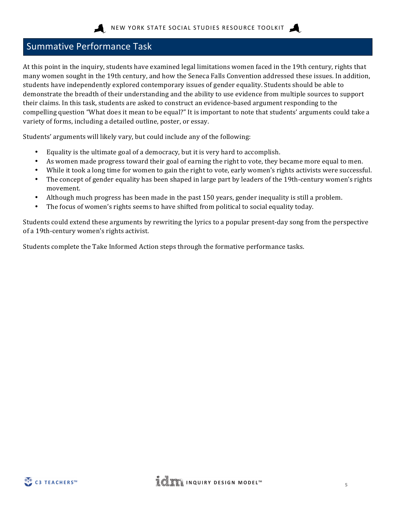#### Summative Performance Task

At this point in the inquiry, students have examined legal limitations women faced in the 19th century, rights that many women sought in the 19th century, and how the Seneca Falls Convention addressed these issues. In addition, students have independently explored contemporary issues of gender equality. Students should be able to demonstrate the breadth of their understanding and the ability to use evidence from multiple sources to support their claims. In this task, students are asked to construct an evidence-based argument responding to the compelling question "What does it mean to be equal?" It is important to note that students' arguments could take a variety of forms, including a detailed outline, poster, or essay.

Students' arguments will likely vary, but could include any of the following:

- Equality is the ultimate goal of a democracy, but it is very hard to accomplish.
- As women made progress toward their goal of earning the right to vote, they became more equal to men.
- While it took a long time for women to gain the right to vote, early women's rights activists were successful.
- The concept of gender equality has been shaped in large part by leaders of the 19th-century women's rights movement.
- Although much progress has been made in the past 150 years, gender inequality is still a problem.
- The focus of women's rights seems to have shifted from political to social equality today.

Students could extend these arguments by rewriting the lyrics to a popular present-day song from the perspective of a 19th-century women's rights activist.

Students complete the Take Informed Action steps through the formative performance tasks.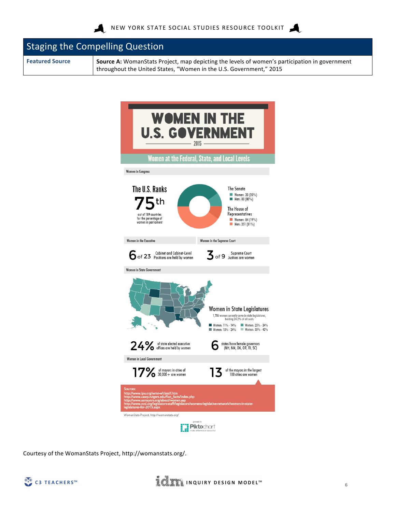





Courtesy of the WomanStats Project, http://womanstats.org/.

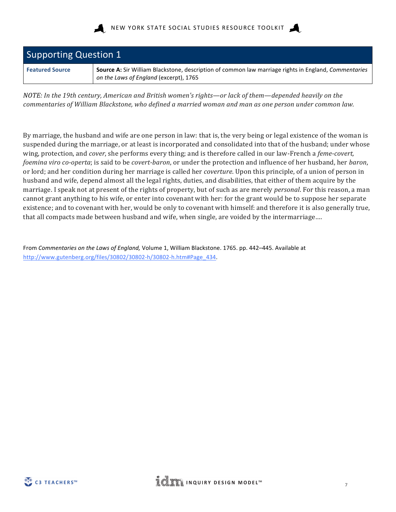



| Supporting Question 1  |                                                                                                                                                |
|------------------------|------------------------------------------------------------------------------------------------------------------------------------------------|
| <b>Featured Source</b> | Source A: Sir William Blackstone, description of common law marriage rights in England, Commentaries<br>on the Laws of England (excerpt), 1765 |

*NOTE:* In the 19th century, American and British women's rights—or lack of them—depended heavily on the *commentaries of William Blackstone, who defined a married woman and man as one person under common law.* 

By marriage, the husband and wife are one person in law: that is, the very being or legal existence of the woman is suspended during the marriage, or at least is incorporated and consolidated into that of the husband; under whose wing, protection, and *cover*, she performs every thing; and is therefore called in our law-French a *feme-covert*, *foemina viro co-operta*; is said to be *covert-baron*, or under the protection and influence of her husband, her *baron*, or lord; and her condition during her marriage is called her *coverture*. Upon this principle, of a union of person in husband and wife, depend almost all the legal rights, duties, and disabilities, that either of them acquire by the marriage. I speak not at present of the rights of property, but of such as are merely *personal*. For this reason, a man cannot grant anything to his wife, or enter into covenant with her: for the grant would be to suppose her separate existence; and to covenant with her, would be only to covenant with himself: and therefore it is also generally true, that all compacts made between husband and wife, when single, are voided by the intermarriage....

From *Commentaries on the Laws of England,* Volume 1, William Blackstone. 1765. pp. 442–445. Available at http://www.gutenberg.org/files/30802/30802-h/30802-h.htm#Page\_434.

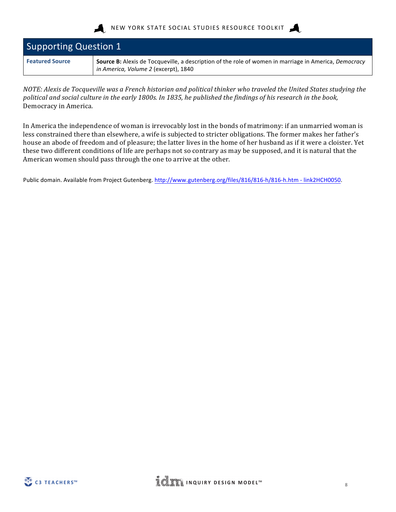



| Supporting Question 1  |                                                                                                                                               |
|------------------------|-----------------------------------------------------------------------------------------------------------------------------------------------|
| <b>Featured Source</b> | Source B: Alexis de Tocqueville, a description of the role of women in marriage in America, Democracy<br>in America, Volume 2 (excerpt), 1840 |

*NOTE: Alexis de Tocqueville was a French historian and political thinker who traveled the United States studying the* political and social culture in the early 1800s. In 1835, he published the findings of his research in the book, Democracy in America*.*

In America the independence of woman is irrevocably lost in the bonds of matrimony: if an unmarried woman is less constrained there than elsewhere, a wife is subjected to stricter obligations. The former makes her father's house an abode of freedom and of pleasure; the latter lives in the home of her husband as if it were a cloister. Yet these two different conditions of life are perhaps not so contrary as may be supposed, and it is natural that the American women should pass through the one to arrive at the other.

Public domain. Available from Project Gutenberg. http://www.gutenberg.org/files/816/816-h/816-h.htm - link2HCH0050.

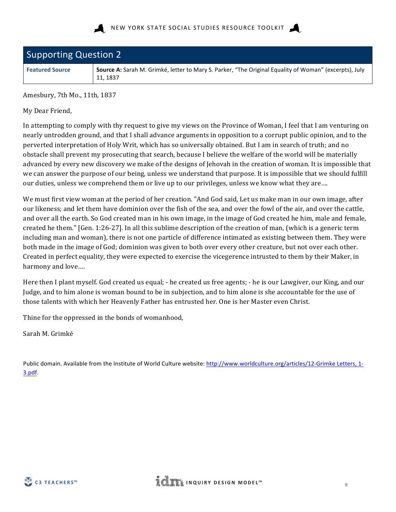

### Supporting Question 2

**Featured Source Source A:** Sarah M. Grimké, letter to Mary S. Parker, "The Original Equality of Woman" (excerpts), July 11, 1837

Amesbury, 7th Mo., 11th, 1837

My Dear Friend,

In attempting to comply with thy request to give my views on the Province of Woman, I feel that I am venturing on nearly untrodden ground, and that I shall advance arguments in opposition to a corrupt public opinion, and to the perverted interpretation of Holy Writ, which has so universally obtained. But I am in search of truth; and no obstacle shall prevent my prosecuting that search, because I believe the welfare of the world will be materially advanced by every new discovery we make of the designs of Jehovah in the creation of woman. It is impossible that we can answer the purpose of our being, unless we understand that purpose. It is impossible that we should fulfill our duties, unless we comprehend them or live up to our privileges, unless we know what they are....

We must first view woman at the period of her creation. "And God said, Let us make man in our own image, after our likeness; and let them have dominion over the fish of the sea, and over the fowl of the air, and over the cattle, and over all the earth. So God created man in his own image, in the image of God created he him, male and female, created he them."  $[Gen. 1:26-27]$ . In all this sublime description of the creation of man, (which is a generic term including man and woman), there is not one particle of difference intimated as existing between them. They were both made in the image of God; dominion was given to both over every other creature, but not over each other. Created in perfect equality, they were expected to exercise the vicegerence intrusted to them by their Maker, in harmony and love....

Here then I plant myself. God created us equal; - he created us free agents; - he is our Lawgiver, our King, and our Judge, and to him alone is woman bound to be in subjection, and to him alone is she accountable for the use of those talents with which her Heavenly Father has entrusted her. One is her Master even Christ.

Thine for the oppressed in the bonds of womanhood,

Sarah M. Grimké

Public domain. Available from the Institute of World Culture website: http://www.worldculture.org/articles/12-Grimke Letters, 1-3.pdf.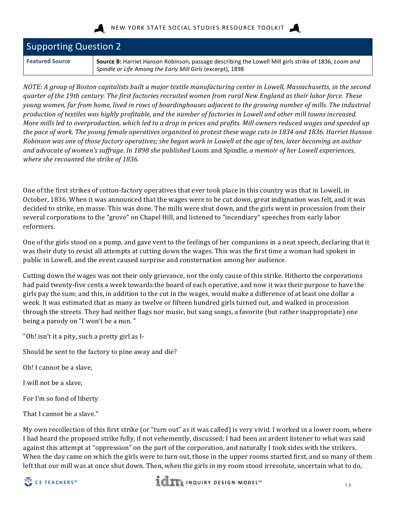



| <b>Supporting Question 2</b> |                                                                                                                                                                    |
|------------------------------|--------------------------------------------------------------------------------------------------------------------------------------------------------------------|
| <b>Featured Source</b>       | Source B: Harriet Hanson Robinson, passage describing the Lowell Mill girls strike of 1836, Loom and<br>Spindle or Life Among the Early Mill Girls (excerpt), 1898 |

*NOTE:* A group of Boston capitalists built a major textile manufacturing center in Lowell, Massachusetts, in the second quarter of the 19th century. The first factories recruited women from rural New England as their labor force. These *young* women, far from home, lived in rows of boardinghouses adjacent to the growing number of mills. The industrial *production of textiles was highly profitable, and the number of factories in Lowell and other mill towns increased. More mills led to overproduction, which led to a drop in prices and profits. Mill owners reduced wages and speeded up* the pace of work. The young female operatives organized to protest these wage cuts in 1834 and 1836. Harriet Hanson *Robinson was one of those factory operatives; she began work in Lowell at the age of ten, later becoming an author* and advocate of women's suffrage. In 1898 she published Loom and Spindle, a memoir of her Lowell experiences, where she recounted the strike of 1836.

One of the first strikes of cotton-factory operatives that ever took place in this country was that in Lowell, in October, 1836. When it was announced that the wages were to be cut down, great indignation was felt, and it was decided to strike, en masse. This was done. The mills were shut down, and the girls went in procession from their several corporations to the "grove" on Chapel Hill, and listened to "incendiary" speeches from early labor reformers.

One of the girls stood on a pump, and gave vent to the feelings of her companions in a neat speech, declaring that it was their duty to resist all attempts at cutting down the wages. This was the first time a woman had spoken in public in Lowell, and the event caused surprise and consternation among her audience.

Cutting down the wages was not their only grievance, nor the only cause of this strike. Hitherto the corporations had paid twenty-five cents a week towards the board of each operative, and now it was their purpose to have the girls pay the sum; and this, in addition to the cut in the wages, would make a difference of at least one dollar a week. It was estimated that as many as twelve or fifteen hundred girls turned out, and walked in procession through the streets. They had neither flags nor music, but sang songs, a favorite (but rather inappropriate) one being a parody on "I won't be a nun."

"Oh! isn't it a pity, such a pretty girl as I-

Should be sent to the factory to pine away and die?

Oh! I cannot be a slave,

I will not be a slave,

For I'm so fond of liberty

That I cannot be a slave."

My own recollection of this first strike (or "turn out" as it was called) is very vivid. I worked in a lower room, where I had heard the proposed strike fully, if not vehemently, discussed; I had been an ardent listener to what was said against this attempt at "oppression" on the part of the corporation, and naturally I took sides with the strikers. When the day came on which the girls were to turn out, those in the upper rooms started first, and so many of them left that our mill was at once shut down. Then, when the girls in my room stood irresolute, uncertain what to do,



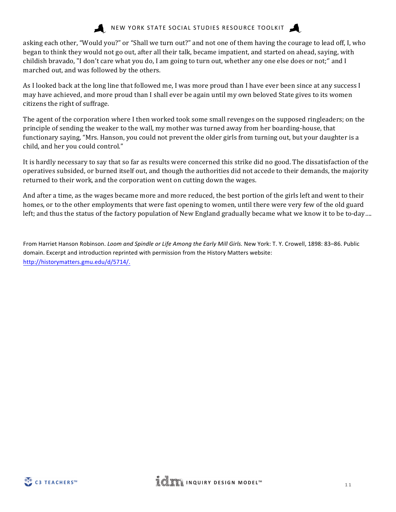

asking each other, "Would you?" or "Shall we turn out?" and not one of them having the courage to lead off, I, who began to think they would not go out, after all their talk, became impatient, and started on ahead, saying, with childish bravado, "I don't care what you do, I am going to turn out, whether any one else does or not;" and I marched out, and was followed by the others.

As I looked back at the long line that followed me, I was more proud than I have ever been since at any success I may have achieved, and more proud than I shall ever be again until my own beloved State gives to its women citizens the right of suffrage.

The agent of the corporation where I then worked took some small revenges on the supposed ringleaders; on the principle of sending the weaker to the wall, my mother was turned away from her boarding-house, that functionary saying, "Mrs. Hanson, you could not prevent the older girls from turning out, but your daughter is a child, and her you could control."

It is hardly necessary to say that so far as results were concerned this strike did no good. The dissatisfaction of the operatives subsided, or burned itself out, and though the authorities did not accede to their demands, the majority returned to their work, and the corporation went on cutting down the wages.

And after a time, as the wages became more and more reduced, the best portion of the girls left and went to their homes, or to the other employments that were fast opening to women, until there were very few of the old guard left; and thus the status of the factory population of New England gradually became what we know it to be to-day....

From Harriet Hanson Robinson. *Loom and Spindle or Life Among the Early Mill Girls.* New York: T. Y. Crowell, 1898: 83–86. Public domain. Excerpt and introduction reprinted with permission from the History Matters website: http://historymatters.gmu.edu/d/5714/.

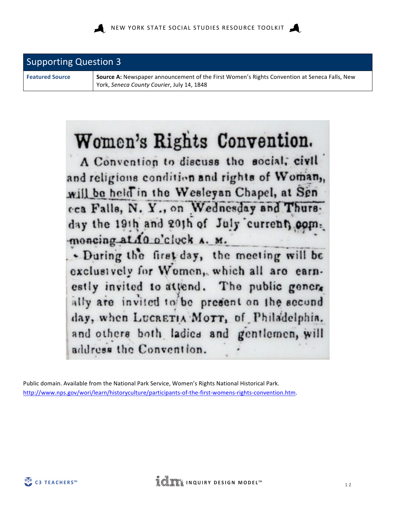

### Supporting Question 3

**Featured Source <b>Source A:** Newspaper announcement of the First Women's Rights Convention at Seneca Falls, New York, Seneca County Courier, July 14, 1848

## Women's Rights Convention.

A Convention to discuss the social, civil and religions condition and rights of Woman, will be held in the Wesleyan Chapel, at Sen cca Falls, N. Y., on Wednesday and Thurs. day the 19th and 20th of July current, com. moncing at 10 o'clock A. M. . During the first day, the meeting will be exclusively for Women, which all are earnestly invited to attend. The public genera ally are invited to be present on the second day, when LUCRETIA MOTT, of Philadelphia. and others both ladies and gentlemen, will address the Convention.

Public domain. Available from the National Park Service, Women's Rights National Historical Park. http://www.nps.gov/wori/learn/historyculture/participants-of-the-first-womens-rights-convention.htm.

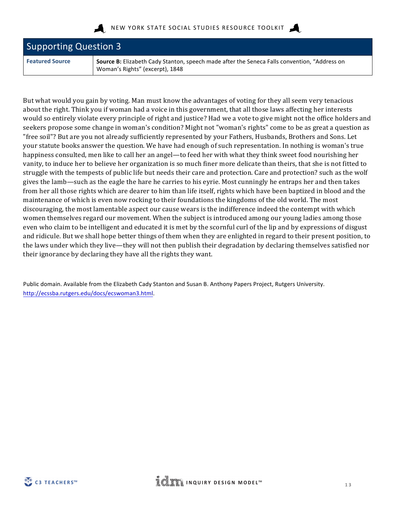



| <b>Supporting Question 3</b> |                                                                                                                                        |
|------------------------------|----------------------------------------------------------------------------------------------------------------------------------------|
| <b>Featured Source</b>       | <b>Source B:</b> Elizabeth Cady Stanton, speech made after the Seneca Falls convention, "Address on<br>Woman's Rights" (excerpt), 1848 |

But what would you gain by voting. Man must know the advantages of voting for they all seem very tenacious about the right. Think you if woman had a voice in this government, that all those laws affecting her interests would so entirely violate every principle of right and justice? Had we a vote to give might not the office holders and seekers propose some change in woman's condition? Might not "woman's rights" come to be as great a question as "free soil"? But are you not already sufficiently represented by your Fathers, Husbands, Brothers and Sons. Let your statute books answer the question. We have had enough of such representation. In nothing is woman's true happiness consulted, men like to call her an angel—to feed her with what they think sweet food nourishing her vanity, to induce her to believe her organization is so much finer more delicate than theirs, that she is not fitted to struggle with the tempests of public life but needs their care and protection. Care and protection? such as the wolf gives the lamb—such as the eagle the hare he carries to his eyrie. Most cunningly he entraps her and then takes from her all those rights which are dearer to him than life itself, rights which have been baptized in blood and the maintenance of which is even now rocking to their foundations the kingdoms of the old world. The most discouraging, the most lamentable aspect our cause wears is the indifference indeed the contempt with which women themselves regard our movement. When the subject is introduced among our young ladies among those even who claim to be intelligent and educated it is met by the scornful curl of the lip and by expressions of disgust and ridicule. But we shall hope better things of them when they are enlighted in regard to their present position, to the laws under which they live—they will not then publish their degradation by declaring themselves satisfied nor their ignorance by declaring they have all the rights they want.

Public domain. Available from the Elizabeth Cady Stanton and Susan B. Anthony Papers Project, Rutgers University. http://ecssba.rutgers.edu/docs/ecswoman3.html.

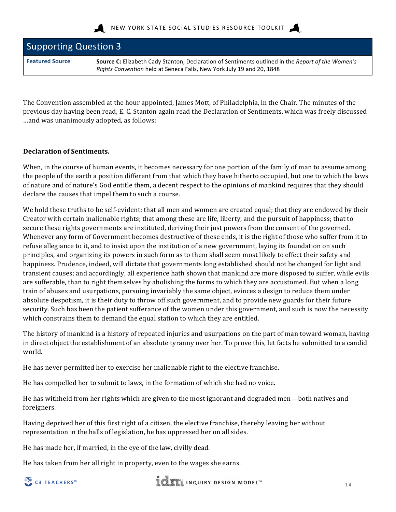| <b>Supporting Question 3</b> |                                                                                                                                                                            |
|------------------------------|----------------------------------------------------------------------------------------------------------------------------------------------------------------------------|
| <b>Featured Source</b>       | Source C: Elizabeth Cady Stanton, Declaration of Sentiments outlined in the Report of the Women's<br>Rights Convention held at Seneca Falls, New York July 19 and 20, 1848 |

The Convention assembled at the hour appointed, James Mott, of Philadelphia, in the Chair. The minutes of the previous day having been read, E. C. Stanton again read the Declaration of Sentiments, which was freely discussed ... and was unanimously adopted, as follows:

#### **Declaration of Sentiments.**

When, in the course of human events, it becomes necessary for one portion of the family of man to assume among the people of the earth a position different from that which they have hitherto occupied, but one to which the laws of nature and of nature's God entitle them, a decent respect to the opinions of mankind requires that they should declare the causes that impel them to such a course.

We hold these truths to be self-evident: that all men and women are created equal; that they are endowed by their Creator with certain inalienable rights; that among these are life, liberty, and the pursuit of happiness; that to secure these rights governments are instituted, deriving their just powers from the consent of the governed. Whenever any form of Government becomes destructive of these ends, it is the right of those who suffer from it to refuse allegiance to it, and to insist upon the institution of a new government, laying its foundation on such principles, and organizing its powers in such form as to them shall seem most likely to effect their safety and happiness. Prudence, indeed, will dictate that governments long established should not be changed for light and transient causes; and accordingly, all experience hath shown that mankind are more disposed to suffer, while evils are sufferable, than to right themselves by abolishing the forms to which they are accustomed. But when a long train of abuses and usurpations, pursuing invariably the same object, evinces a design to reduce them under absolute despotism, it is their duty to throw off such government, and to provide new guards for their future security. Such has been the patient sufferance of the women under this government, and such is now the necessity which constrains them to demand the equal station to which they are entitled.

The history of mankind is a history of repeated injuries and usurpations on the part of man toward woman, having in direct object the establishment of an absolute tyranny over her. To prove this, let facts be submitted to a candid world.

He has never permitted her to exercise her inalienable right to the elective franchise.

He has compelled her to submit to laws, in the formation of which she had no voice.

He has withheld from her rights which are given to the most ignorant and degraded men—both natives and foreigners.

Having deprived her of this first right of a citizen, the elective franchise, thereby leaving her without representation in the halls of legislation, he has oppressed her on all sides.

He has made her, if married, in the eye of the law, civilly dead.

He has taken from her all right in property, even to the wages she earns.

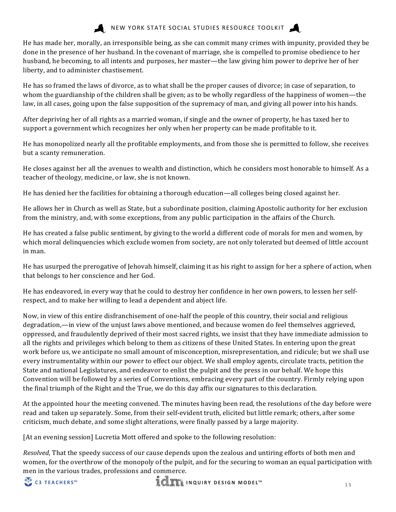He has made her, morally, an irresponsible being, as she can commit many crimes with impunity, provided they be done in the presence of her husband. In the covenant of marriage, she is compelled to promise obedience to her husband, he becoming, to all intents and purposes, her master—the law giving him power to deprive her of her liberty, and to administer chastisement.

He has so framed the laws of divorce, as to what shall be the proper causes of divorce; in case of separation, to whom the guardianship of the children shall be given; as to be wholly regardless of the happiness of women—the law, in all cases, going upon the false supposition of the supremacy of man, and giving all power into his hands.

After depriving her of all rights as a married woman, if single and the owner of property, he has taxed her to support a government which recognizes her only when her property can be made profitable to it.

He has monopolized nearly all the profitable employments, and from those she is permitted to follow, she receives but a scanty remuneration.

He closes against her all the avenues to wealth and distinction, which he considers most honorable to himself. As a teacher of theology, medicine, or law, she is not known.

He has denied her the facilities for obtaining a thorough education—all colleges being closed against her.

He allows her in Church as well as State, but a subordinate position, claiming Apostolic authority for her exclusion from the ministry, and, with some exceptions, from any public participation in the affairs of the Church.

He has created a false public sentiment, by giving to the world a different code of morals for men and women, by which moral delinquencies which exclude women from society, are not only tolerated but deemed of little account in man.

He has usurped the prerogative of Jehovah himself, claiming it as his right to assign for her a sphere of action, when that belongs to her conscience and her God.

He has endeavored, in every way that he could to destroy her confidence in her own powers, to lessen her selfrespect, and to make her willing to lead a dependent and abject life.

Now, in view of this entire disfranchisement of one-half the people of this country, their social and religious degradation,—in view of the unjust laws above mentioned, and because women do feel themselves aggrieved, oppressed, and fraudulently deprived of their most sacred rights, we insist that they have immediate admission to all the rights and privileges which belong to them as citizens of these United States. In entering upon the great work before us, we anticipate no small amount of misconception, misrepresentation, and ridicule; but we shall use every instrumentality within our power to effect our object. We shall employ agents, circulate tracts, petition the State and national Legislatures, and endeavor to enlist the pulpit and the press in our behalf. We hope this Convention will be followed by a series of Conventions, embracing every part of the country. Firmly relying upon the final triumph of the Right and the True, we do this day affix our signatures to this declaration.

At the appointed hour the meeting convened. The minutes having been read, the resolutions of the day before were read and taken up separately. Some, from their self-evident truth, elicited but little remark; others, after some criticism, much debate, and some slight alterations, were finally passed by a large majority.

[At an evening session] Lucretia Mott offered and spoke to the following resolution:

*Resolved*, That the speedy success of our cause depends upon the zealous and untiring efforts of both men and women, for the overthrow of the monopoly of the pulpit, and for the securing to woman an equal participation with men in the various trades, professions and commerce.

<sup>©1</sup>© C3 TEACHERS™